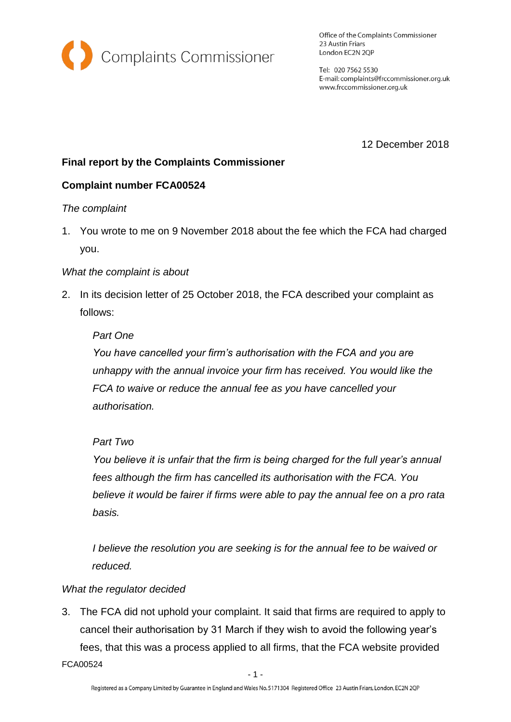

Office of the Complaints Commissioner 23 Austin Friars London EC2N 2QP

Tel: 020 7562 5530 E-mail: complaints@frccommissioner.org.uk www.frccommissioner.org.uk

12 December 2018

# **Final report by the Complaints Commissioner**

## **Complaint number FCA00524**

#### *The complaint*

1. You wrote to me on 9 November 2018 about the fee which the FCA had charged you.

## *What the complaint is about*

2. In its decision letter of 25 October 2018, the FCA described your complaint as follows:

## *Part One*

*You have cancelled your firm's authorisation with the FCA and you are unhappy with the annual invoice your firm has received. You would like the FCA to waive or reduce the annual fee as you have cancelled your authorisation.*

## *Part Two*

*You believe it is unfair that the firm is being charged for the full year's annual fees although the firm has cancelled its authorisation with the FCA. You believe it would be fairer if firms were able to pay the annual fee on a pro rata basis.*

*I believe the resolution you are seeking is for the annual fee to be waived or reduced.*

#### *What the regulator decided*

3. The FCA did not uphold your complaint. It said that firms are required to apply to cancel their authorisation by 31 March if they wish to avoid the following year's fees, that this was a process applied to all firms, that the FCA website provided

FCA00524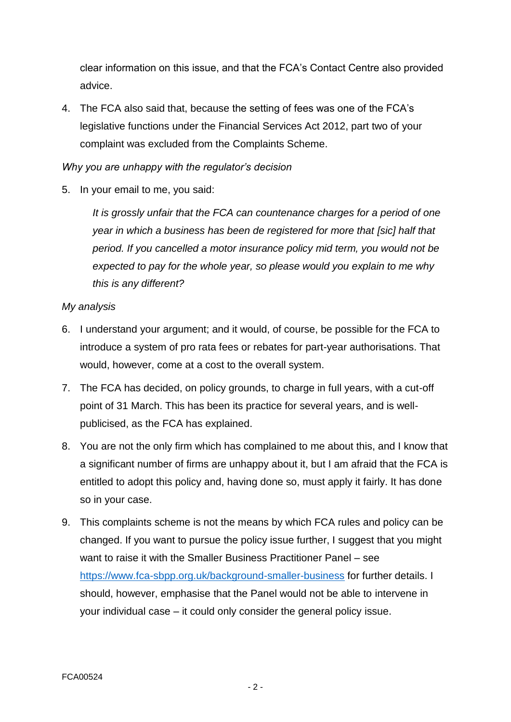clear information on this issue, and that the FCA's Contact Centre also provided advice.

4. The FCA also said that, because the setting of fees was one of the FCA's legislative functions under the Financial Services Act 2012, part two of your complaint was excluded from the Complaints Scheme.

## *Why you are unhappy with the regulator's decision*

5. In your email to me, you said:

*It is grossly unfair that the FCA can countenance charges for a period of one year in which a business has been de registered for more that [sic] half that period. If you cancelled a motor insurance policy mid term, you would not be expected to pay for the whole year, so please would you explain to me why this is any different?*

#### *My analysis*

- 6. I understand your argument; and it would, of course, be possible for the FCA to introduce a system of pro rata fees or rebates for part-year authorisations. That would, however, come at a cost to the overall system.
- 7. The FCA has decided, on policy grounds, to charge in full years, with a cut-off point of 31 March. This has been its practice for several years, and is wellpublicised, as the FCA has explained.
- 8. You are not the only firm which has complained to me about this, and I know that a significant number of firms are unhappy about it, but I am afraid that the FCA is entitled to adopt this policy and, having done so, must apply it fairly. It has done so in your case.
- 9. This complaints scheme is not the means by which FCA rules and policy can be changed. If you want to pursue the policy issue further, I suggest that you might want to raise it with the Smaller Business Practitioner Panel – see <https://www.fca-sbpp.org.uk/background-smaller-business> for further details. I should, however, emphasise that the Panel would not be able to intervene in your individual case – it could only consider the general policy issue.